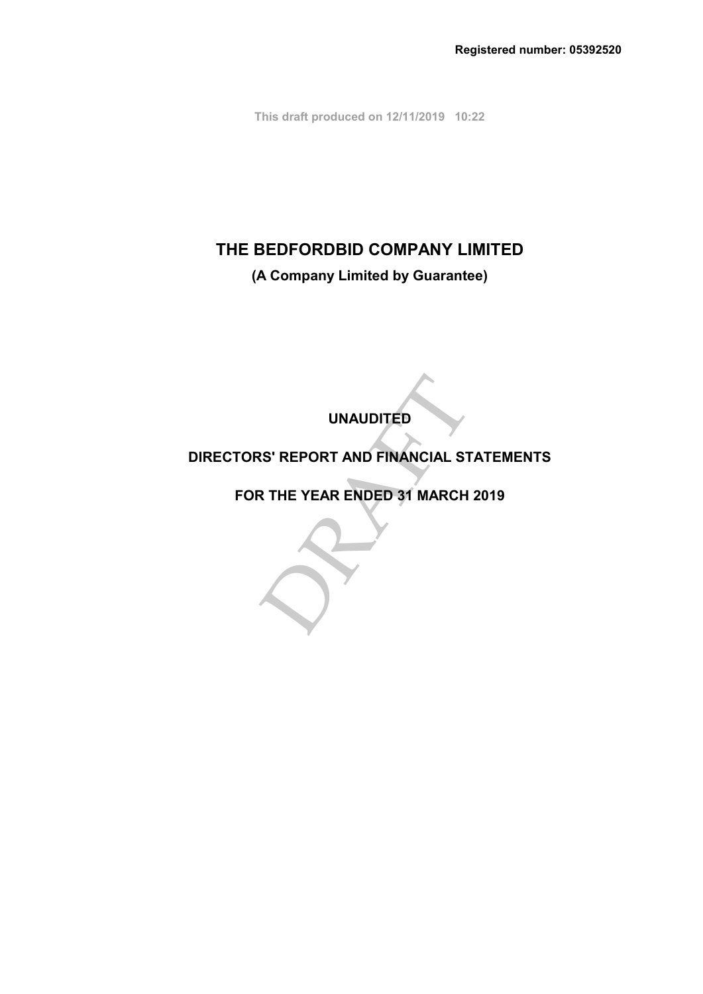**This draft produced on 12/11/2019 10:22**

# **THE BEDFORDBID COMPANY LIMITED**

**(A Company Limited by Guarantee)**

**UNAUDITED**

## **DIRECTORS' REPORT AND FINANCIAL STATEMENTS**

UNAUDITED<br>RS' REPORT AND FINANCIAL STATE<br>R THE YEAR ENDED 31 MARCH 201 **FOR THE YEAR ENDED 31 MARCH 2019**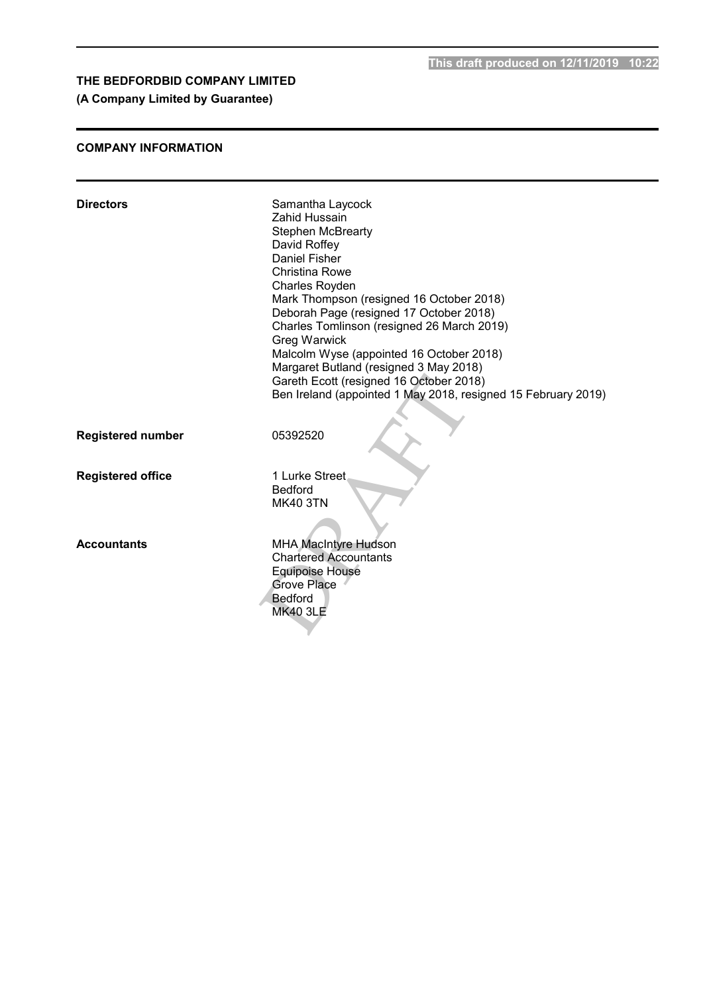**This draft produced on 12/11/2019 10:22**

## **THE BEDFORDBID COMPANY LIMITED**

## **(A Company Limited by Guarantee)**

## **COMPANY INFORMATION**

| <b>Directors</b>         | Samantha Laycock<br>Zahid Hussain                             |
|--------------------------|---------------------------------------------------------------|
|                          |                                                               |
|                          | <b>Stephen McBrearty</b>                                      |
|                          | David Roffey                                                  |
|                          | Daniel Fisher                                                 |
|                          | <b>Christina Rowe</b>                                         |
|                          | Charles Royden                                                |
|                          | Mark Thompson (resigned 16 October 2018)                      |
|                          | Deborah Page (resigned 17 October 2018)                       |
|                          | Charles Tomlinson (resigned 26 March 2019)                    |
|                          | <b>Greg Warwick</b>                                           |
|                          | Malcolm Wyse (appointed 16 October 2018)                      |
|                          | Margaret Butland (resigned 3 May 2018)                        |
|                          | Gareth Ecott (resigned 16 October 2018)                       |
|                          | Ben Ireland (appointed 1 May 2018, resigned 15 February 2019) |
|                          |                                                               |
|                          |                                                               |
| <b>Registered number</b> | 05392520                                                      |
|                          |                                                               |
|                          |                                                               |
| <b>Registered office</b> | 1 Lurke Street                                                |
|                          | <b>Bedford</b>                                                |
|                          | <b>MK40 3TN</b>                                               |
|                          |                                                               |
|                          |                                                               |
| <b>Accountants</b>       | <b>MHA MacIntyre Hudson</b>                                   |
|                          | <b>Chartered Accountants</b>                                  |
|                          | <b>Equipoise House</b>                                        |
|                          | <b>Grove Place</b>                                            |
|                          | <b>Bedford</b>                                                |
|                          | <b>MK40 3LE</b>                                               |
|                          |                                                               |
|                          |                                                               |
|                          |                                                               |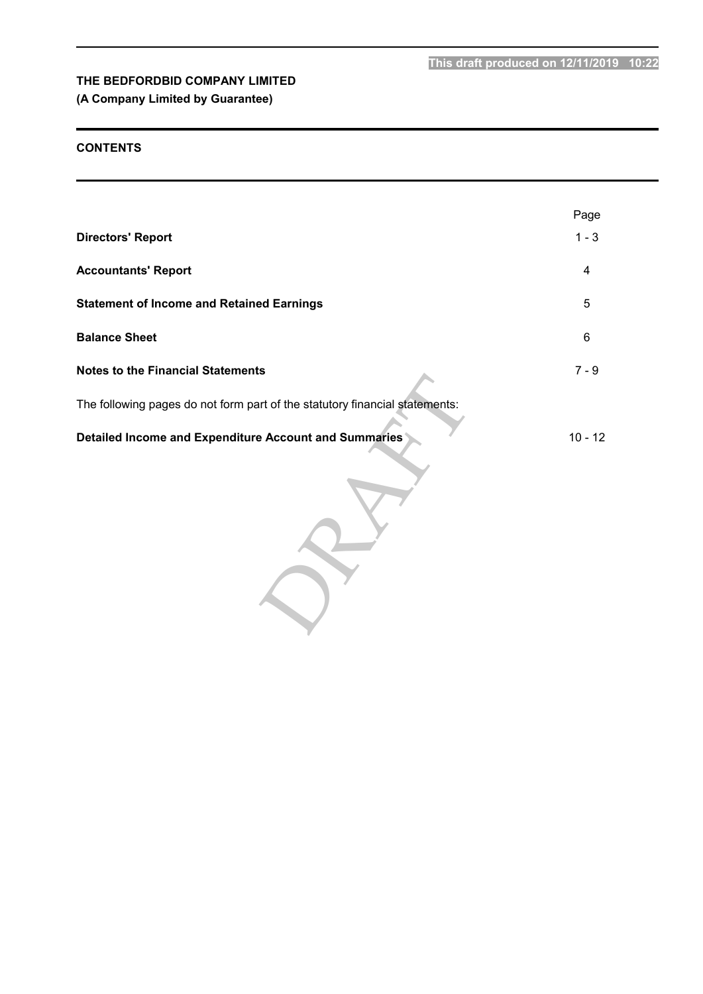## **(A Company Limited by Guarantee)**

## **CONTENTS**

|                                                                             | Page      |
|-----------------------------------------------------------------------------|-----------|
| <b>Directors' Report</b>                                                    | $1 - 3$   |
| <b>Accountants' Report</b>                                                  | 4         |
| <b>Statement of Income and Retained Earnings</b>                            | 5         |
| <b>Balance Sheet</b>                                                        | 6         |
| <b>Notes to the Financial Statements</b>                                    | $7 - 9$   |
| The following pages do not form part of the statutory financial statements: |           |
| Detailed Income and Expenditure Account and Summaries                       | $10 - 12$ |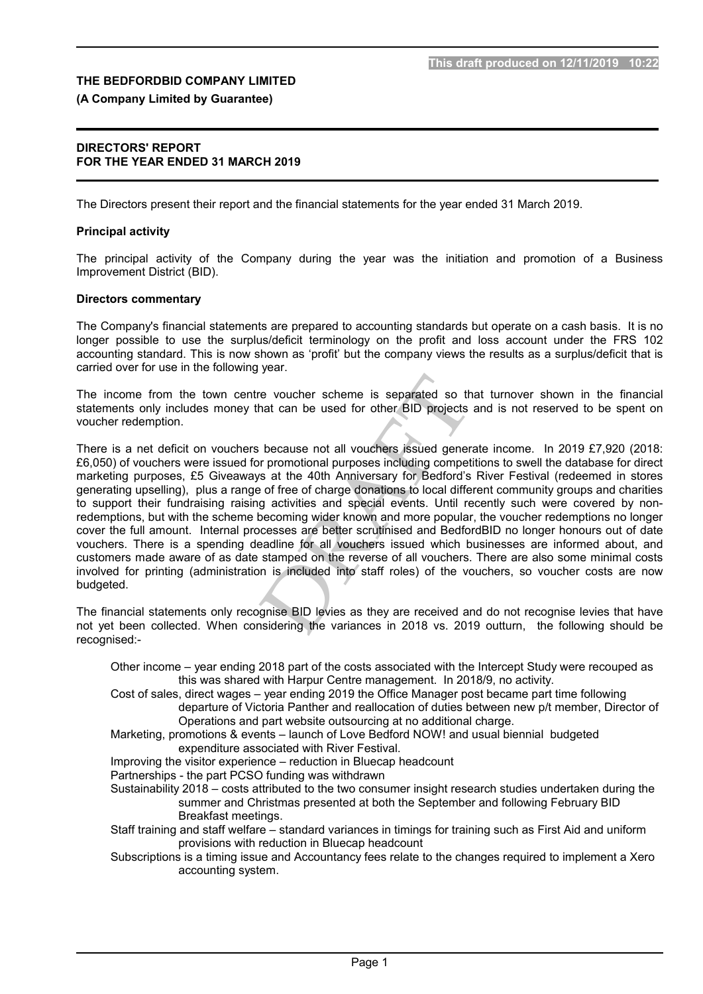### **(A Company Limited by Guarantee)**

#### **DIRECTORS' REPORT FOR THE YEAR ENDED 31 MARCH 2019**

The Directors present their report and the financial statements for the year ended 31 March 2019.

#### **Principal activity**

The principal activity of the Company during the year was the initiation and promotion of a Business Improvement District (BID).

#### **Directors commentary**

The Company's financial statements are prepared to accounting standards but operate on a cash basis. It is no longer possible to use the surplus/deficit terminology on the profit and loss account under the FRS 102 accounting standard. This is now shown as 'profit' but the company views the results as a surplus/deficit that is carried over for use in the following year.

The income from the town centre voucher scheme is separated so that turnover shown in the financial statements only includes money that can be used for other BID projects and is not reserved to be spent on voucher redemption.

France voucher scheme is separated so that that can be used for other BID projects and<br>that can be used for other BID projects and<br>the secause not all vouchers issued generate<br>or promotional purposes including competition<br> There is a net deficit on vouchers because not all vouchers issued generate income. In 2019 £7,920 (2018: £6,050) of vouchers were issued for promotional purposes including competitions to swell the database for direct marketing purposes, £5 Giveaways at the 40th Anniversary for Bedford's River Festival (redeemed in stores generating upselling), plus a range of free of charge donations to local different community groups and charities to support their fundraising raising activities and special events. Until recently such were covered by nonredemptions, but with the scheme becoming wider known and more popular, the voucher redemptions no longer cover the full amount. Internal processes are better scrutinised and BedfordBID no longer honours out of date vouchers. There is a spending deadline for all vouchers issued which businesses are informed about, and customers made aware of as date stamped on the reverse of all vouchers. There are also some minimal costs involved for printing (administration is included into staff roles) of the vouchers, so voucher costs are now budgeted.

The financial statements only recognise BID levies as they are received and do not recognise levies that have not yet been collected. When considering the variances in 2018 vs. 2019 outturn, the following should be recognised:-

Other income – year ending 2018 part of the costs associated with the Intercept Study were recouped as this was shared with Harpur Centre management. In 2018/9, no activity.

Cost of sales, direct wages – year ending 2019 the Office Manager post became part time following departure of Victoria Panther and reallocation of duties between new p/t member, Director of Operations and part website outsourcing at no additional charge.

Marketing, promotions & events – launch of Love Bedford NOW! and usual biennial budgeted expenditure associated with River Festival.

Improving the visitor experience – reduction in Bluecap headcount

Partnerships - the part PCSO funding was withdrawn

Sustainability 2018 – costs attributed to the two consumer insight research studies undertaken during the summer and Christmas presented at both the September and following February BID Breakfast meetings.

Staff training and staff welfare – standard variances in timings for training such as First Aid and uniform provisions with reduction in Bluecap headcount

Subscriptions is a timing issue and Accountancy fees relate to the changes required to implement a Xero accounting system.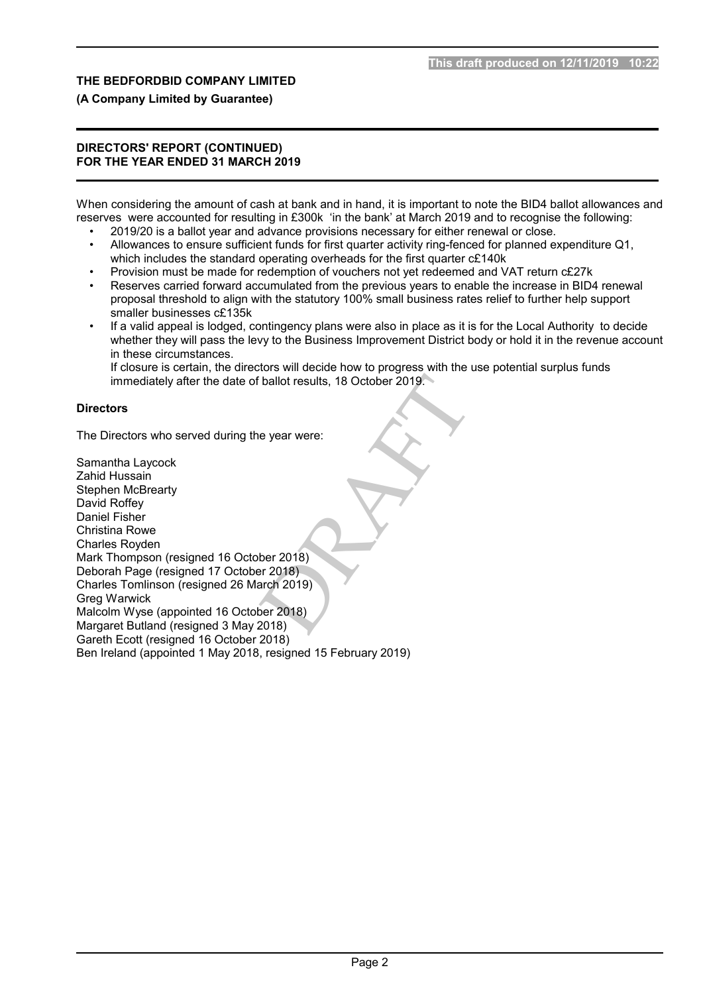## **(A Company Limited by Guarantee)**

#### **DIRECTORS' REPORT (CONTINUED) FOR THE YEAR ENDED 31 MARCH 2019**

When considering the amount of cash at bank and in hand, it is important to note the BID4 ballot allowances and reserves were accounted for resulting in £300k 'in the bank' at March 2019 and to recognise the following:

- 2019/20 is a ballot year and advance provisions necessary for either renewal or close.
- Allowances to ensure sufficient funds for first quarter activity ring-fenced for planned expenditure Q1, which includes the standard operating overheads for the first quarter  $cE140k$
- Provision must be made for redemption of vouchers not yet redeemed and VAT return c£27k
- Reserves carried forward accumulated from the previous years to enable the increase in BID4 renewal proposal threshold to align with the statutory 100% small business rates relief to further help support smaller businesses c£135k
- If a valid appeal is lodged, contingency plans were also in place as it is for the Local Authority to decide whether they will pass the levy to the Business Improvement District body or hold it in the revenue account in these circumstances.

If closure is certain, the directors will decide how to progress with the use potential surplus funds immediately after the date of ballot results, 18 October 2019.

## **Directors**

The Directors who served during the year were:

ballot results, 18 October 2019.<br>
e year were:<br>
Der 2018)<br>
Per 2018)<br>
Per 2018)<br>
Per 2018)<br>
Per 2018)<br>
2018) Samantha Laycock Zahid Hussain Stephen McBrearty David Roffey Daniel Fisher Christina Rowe Charles Royden Mark Thompson (resigned 16 October 2018) Deborah Page (resigned 17 October 2018) Charles Tomlinson (resigned 26 March 2019) Greg Warwick Malcolm Wyse (appointed 16 October 2018) Margaret Butland (resigned 3 May 2018) Gareth Ecott (resigned 16 October 2018) Ben Ireland (appointed 1 May 2018, resigned 15 February 2019)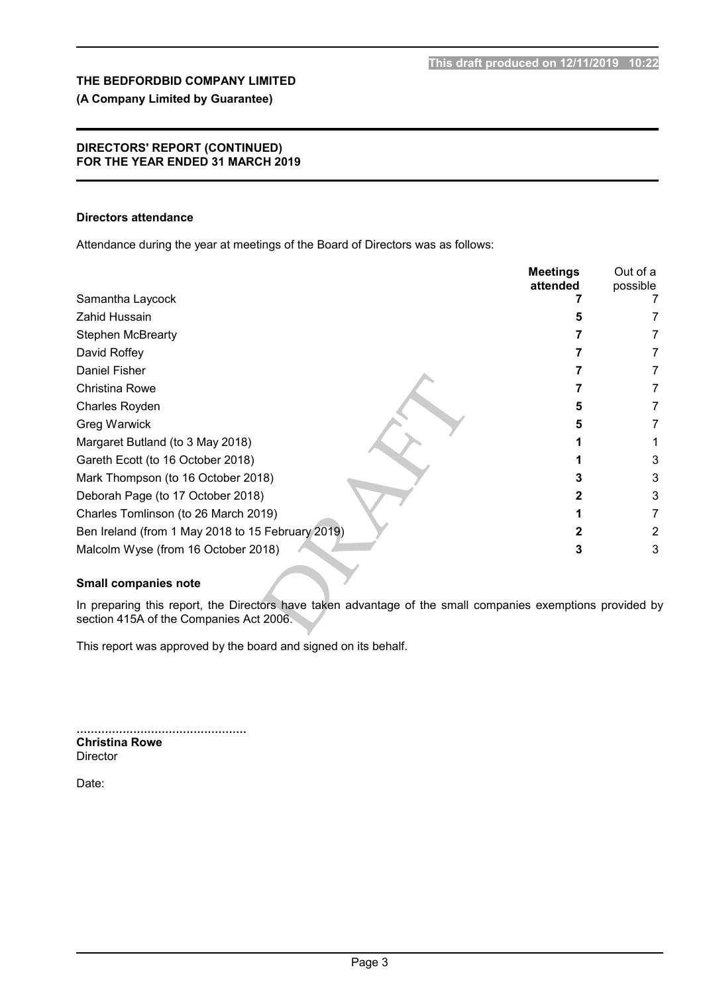## **(A Company Limited by Guarantee)**

#### **DIRECTORS' REPORT (CONTINUED) FOR THE YEAR ENDED 31 MARCH 2019**

#### **Directors attendance**

Attendance during the year at meetings of the Board of Directors was as follows:

|                                                                                                                                                       | <b>Meetings</b><br>attended | Out of a<br>possible |
|-------------------------------------------------------------------------------------------------------------------------------------------------------|-----------------------------|----------------------|
| Samantha Laycock                                                                                                                                      |                             |                      |
| Zahid Hussain                                                                                                                                         |                             |                      |
| <b>Stephen McBrearty</b>                                                                                                                              |                             |                      |
| David Roffey                                                                                                                                          |                             | 7                    |
| Daniel Fisher                                                                                                                                         |                             |                      |
| Christina Rowe                                                                                                                                        |                             | 7                    |
| Charles Royden                                                                                                                                        | 5                           | 7                    |
| Greg Warwick                                                                                                                                          | 5                           | 7                    |
| Margaret Butland (to 3 May 2018)                                                                                                                      |                             |                      |
| Gareth Ecott (to 16 October 2018)                                                                                                                     |                             | 3                    |
| Mark Thompson (to 16 October 2018)                                                                                                                    |                             | 3                    |
| Deborah Page (to 17 October 2018)                                                                                                                     |                             | 3                    |
| Charles Tomlinson (to 26 March 2019)                                                                                                                  |                             | 7                    |
| Ben Ireland (from 1 May 2018 to 15 February 2019)                                                                                                     |                             | 2                    |
| Malcolm Wyse (from 16 October 2018)                                                                                                                   | 3                           | 3                    |
| <b>Small companies note</b>                                                                                                                           |                             |                      |
|                                                                                                                                                       |                             |                      |
| In preparing this report, the Directors have taken advantage of the small companies exemptions provided by<br>section 415A of the Companies Act 2006. |                             |                      |
|                                                                                                                                                       |                             |                      |

#### **Small companies note**

This report was approved by the board and signed on its behalf.

................................................ **Christina Rowe** Director

Date: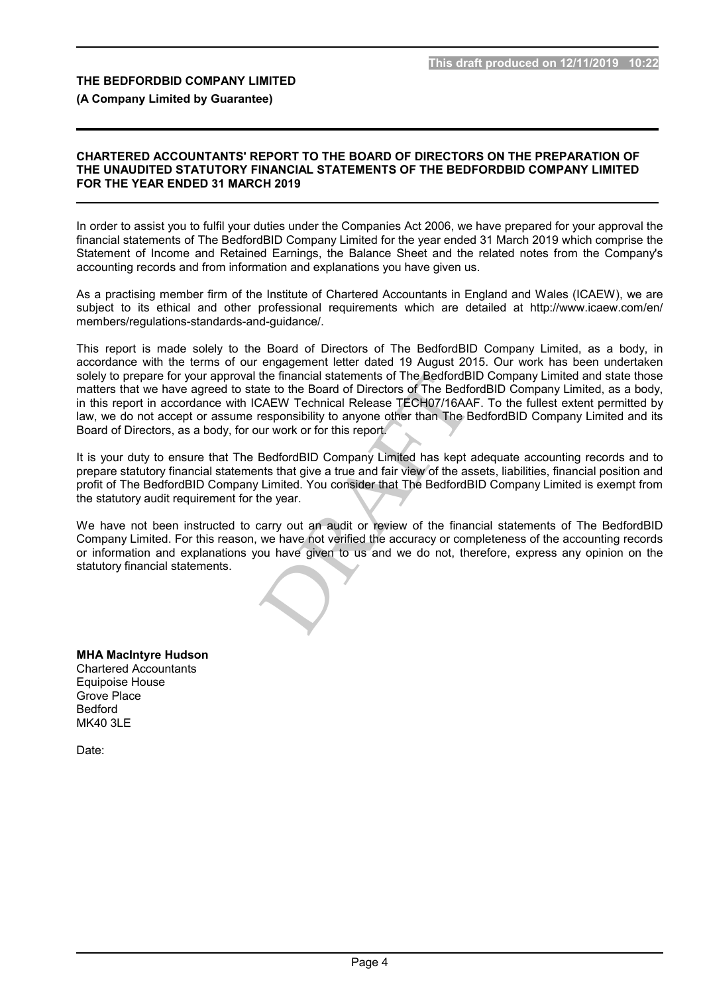#### **(A Company Limited by Guarantee)**

#### **CHARTERED ACCOUNTANTS' REPORT TO THE BOARD OF DIRECTORS ON THE PREPARATION OF THE UNAUDITED STATUTORY FINANCIAL STATEMENTS OF THE BEDFORDBID COMPANY LIMITED FOR THE YEAR ENDED 31 MARCH 2019**

In order to assist you to fulfil your duties under the Companies Act 2006, we have prepared for your approval the financial statements of The BedfordBID Company Limited for the year ended 31 March 2019 which comprise the Statement of Income and Retained Earnings, the Balance Sheet and the related notes from the Company's accounting records and from information and explanations you have given us.

As a practising member firm of the Institute of Chartered Accountants in England and Wales (ICAEW), we are subject to its ethical and other professional requirements which are detailed at http://www.icaew.com/en/ members/regulations-standards-and-guidance/.

the financial statements of The BedfordBID C<br>the to the Board of Directors of The BedfordBID C<br>CAEW Technical Release TECH07/16AAF. T<br>responsibility to anyone other than The Bedford<br>tur work or for this report.<br>BedfordBID This report is made solely to the Board of Directors of The BedfordBID Company Limited, as a body, in accordance with the terms of our engagement letter dated 19 August 2015. Our work has been undertaken solely to prepare for your approval the financial statements of The BedfordBID Company Limited and state those matters that we have agreed to state to the Board of Directors of The BedfordBID Company Limited, as a body, in this report in accordance with ICAEW Technical Release TECH07/16AAF. To the fullest extent permitted by law, we do not accept or assume responsibility to anyone other than The BedfordBID Company Limited and its Board of Directors, as a body, for our work or for this report.

It is your duty to ensure that The BedfordBID Company Limited has kept adequate accounting records and to prepare statutory financial statements that give a true and fair view of the assets, liabilities, financial position and profit of The BedfordBID Company Limited. You consider that The BedfordBID Company Limited is exempt from the statutory audit requirement for the year.

We have not been instructed to carry out an audit or review of the financial statements of The BedfordBID Company Limited. For this reason, we have not verified the accuracy or completeness of the accounting records or information and explanations you have given to us and we do not, therefore, express any opinion on the statutory financial statements.

**MHA MacIntyre Hudson** Chartered Accountants Equipoise House Grove Place Bedford MK40 3LE

Date: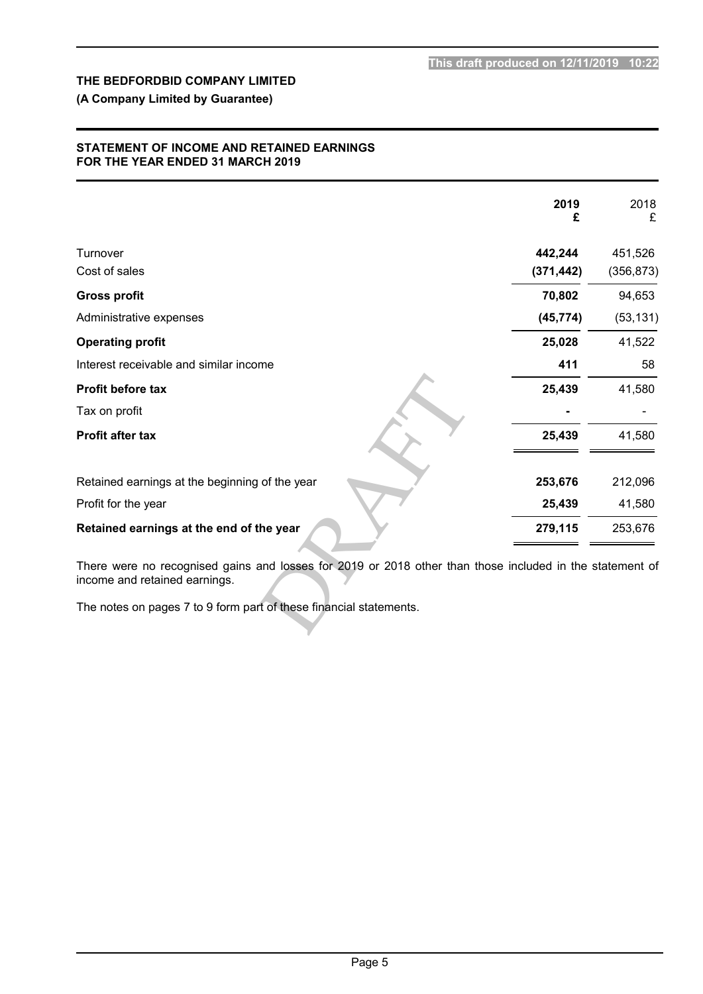## **(A Company Limited by Guarantee)**

### **STATEMENT OF INCOME AND RETAINED EARNINGS FOR THE YEAR ENDED 31 MARCH 2019**

|                                                                                                                                                                                                                 | 2019<br>£             | 2018<br>£             |
|-----------------------------------------------------------------------------------------------------------------------------------------------------------------------------------------------------------------|-----------------------|-----------------------|
| Turnover<br>Cost of sales                                                                                                                                                                                       | 442,244<br>(371, 442) | 451,526<br>(356, 873) |
|                                                                                                                                                                                                                 |                       |                       |
| <b>Gross profit</b>                                                                                                                                                                                             | 70,802                | 94,653                |
| Administrative expenses                                                                                                                                                                                         | (45, 774)             | (53, 131)             |
| <b>Operating profit</b>                                                                                                                                                                                         | 25,028                | 41,522                |
| Interest receivable and similar income                                                                                                                                                                          | 411                   | 58                    |
| Profit before tax                                                                                                                                                                                               | 25,439                | 41,580                |
| Tax on profit                                                                                                                                                                                                   |                       |                       |
| <b>Profit after tax</b>                                                                                                                                                                                         | 25,439                | 41,580                |
| Retained earnings at the beginning of the year                                                                                                                                                                  | 253,676               | 212,096               |
| Profit for the year                                                                                                                                                                                             | 25,439                | 41,580                |
| Retained earnings at the end of the year                                                                                                                                                                        | 279,115               | 253,676               |
| There were no recognised gains and losses for 2019 or 2018 other than those included in the statement of<br>income and retained earnings.<br>The notes on pages 7 to 9 form part of these financial statements. |                       |                       |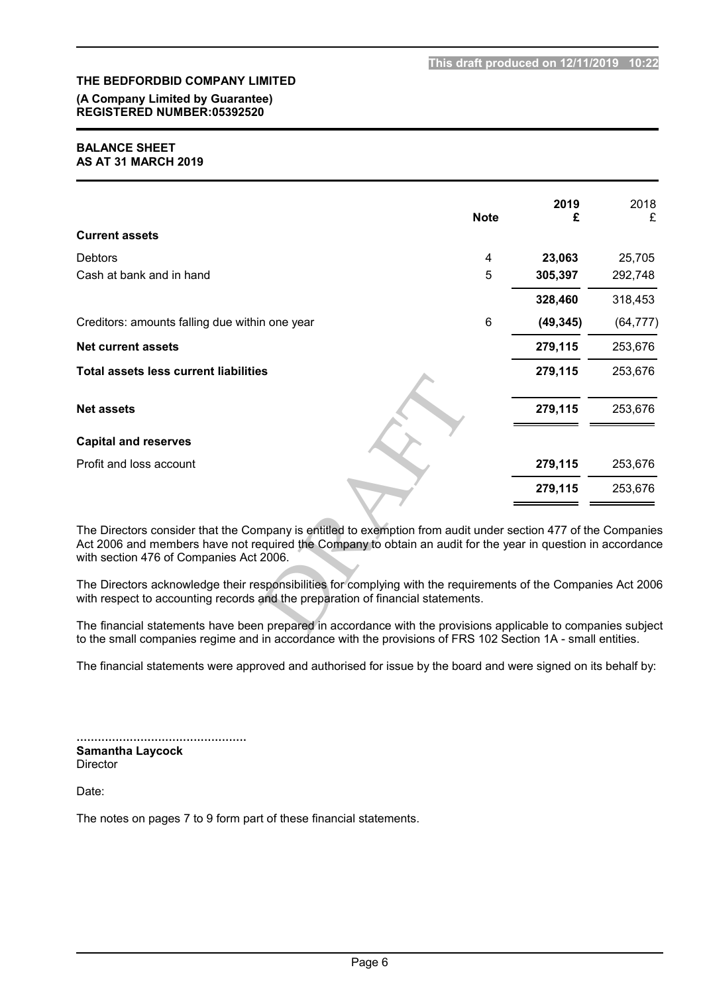### **(A Company Limited by Guarantee) REGISTERED NUMBER:05392520**

#### **BALANCE SHEET AS AT 31 MARCH 2019**

|                                                                                                                                                                                                                                                                           | <b>Note</b> | 2019<br>£ | 2018<br>£ |
|---------------------------------------------------------------------------------------------------------------------------------------------------------------------------------------------------------------------------------------------------------------------------|-------------|-----------|-----------|
| <b>Current assets</b>                                                                                                                                                                                                                                                     |             |           |           |
| <b>Debtors</b>                                                                                                                                                                                                                                                            | 4           | 23,063    | 25,705    |
| Cash at bank and in hand                                                                                                                                                                                                                                                  | 5           | 305,397   | 292,748   |
|                                                                                                                                                                                                                                                                           |             | 328,460   | 318,453   |
| Creditors: amounts falling due within one year                                                                                                                                                                                                                            | 6           | (49, 345) | (64, 777) |
| <b>Net current assets</b>                                                                                                                                                                                                                                                 |             | 279,115   | 253,676   |
| <b>Total assets less current liabilities</b>                                                                                                                                                                                                                              |             | 279,115   | 253,676   |
| <b>Net assets</b>                                                                                                                                                                                                                                                         |             | 279,115   | 253,676   |
| <b>Capital and reserves</b>                                                                                                                                                                                                                                               |             |           |           |
| Profit and loss account                                                                                                                                                                                                                                                   |             | 279,115   | 253,676   |
|                                                                                                                                                                                                                                                                           |             | 279,115   | 253,676   |
| The Directors consider that the Company is entitled to exemption from audit under section 477 of the Companies<br>Act 2006 and members have not required the Company to obtain an audit for the year in question in accordance<br>with section 476 of Companies Act 2006. |             |           |           |
| The Directors acknowledge their responsibilities for complying with the requirements of the Companies Act 2006<br>with respect to accounting records and the preparation of financial statements.                                                                         |             |           |           |
| The financial statements have been prepared in accordance with the provisions applicable to companies subject<br>to the email companies regime and in ecoerdance with the provisions of EDS 102 Section 1A, email entities                                                |             |           |           |

The financial statements have been prepared in accordance with the provisions applicable to companies subject to the small companies regime and in accordance with the provisions of FRS 102 Section 1A - small entities.

The financial statements were approved and authorised for issue by the board and were signed on its behalf by:

|  | <b>Samantha Laycock</b> |  |  |  |  |  |  |  |  |  |  |  |  |  |  |  |  |  |  |  |  |
|--|-------------------------|--|--|--|--|--|--|--|--|--|--|--|--|--|--|--|--|--|--|--|--|
|  | <b>Director</b>         |  |  |  |  |  |  |  |  |  |  |  |  |  |  |  |  |  |  |  |  |

Date:

The notes on pages 7 to 9 form part of these financial statements.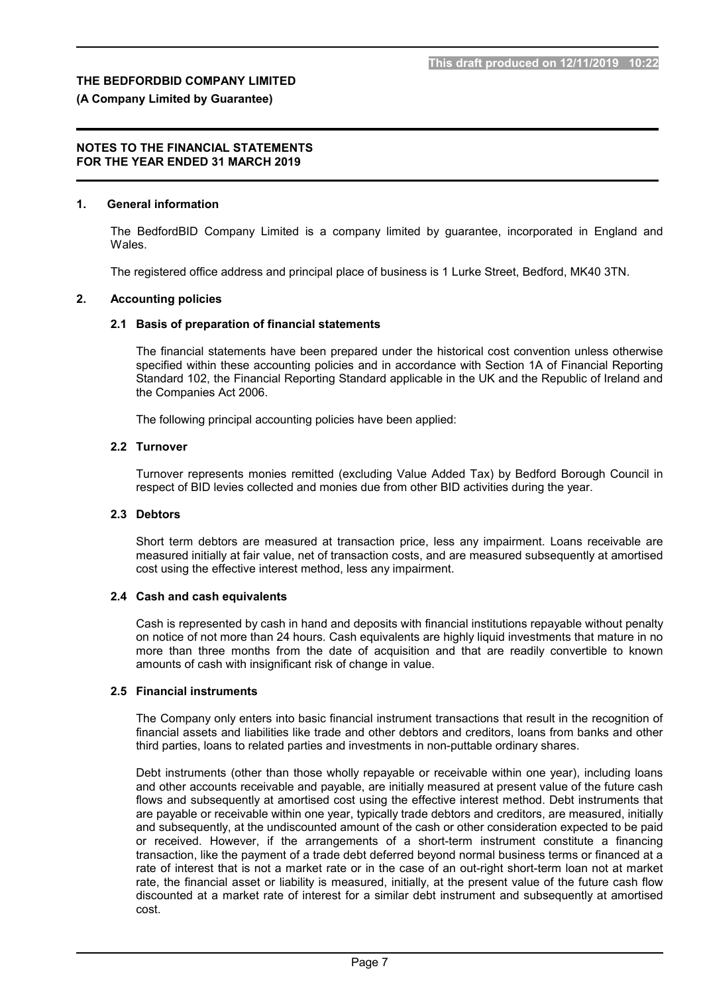### **(A Company Limited by Guarantee)**

#### **NOTES TO THE FINANCIAL STATEMENTS FOR THE YEAR ENDED 31 MARCH 2019**

#### **1. General information**

The BedfordBID Company Limited is a company limited by guarantee, incorporated in England and Wales.

The registered office address and principal place of business is 1 Lurke Street, Bedford, MK40 3TN.

#### **2. Accounting policies**

#### **2.1 Basis of preparation of financial statements**

The financial statements have been prepared under the historical cost convention unless otherwise specified within these accounting policies and in accordance with Section 1A of Financial Reporting Standard 102, the Financial Reporting Standard applicable in the UK and the Republic of Ireland and the Companies Act 2006.

The following principal accounting policies have been applied:

#### **2.2 Turnover**

Turnover represents monies remitted (excluding Value Added Tax) by Bedford Borough Council in respect of BID levies collected and monies due from other BID activities during the year.

## **2.3 Debtors**

Short term debtors are measured at transaction price, less any impairment. Loans receivable are measured initially at fair value, net of transaction costs, and are measured subsequently at amortised cost using the effective interest method, less any impairment.

#### **2.4 Cash and cash equivalents**

Cash is represented by cash in hand and deposits with financial institutions repayable without penalty on notice of not more than 24 hours. Cash equivalents are highly liquid investments that mature in no more than three months from the date of acquisition and that are readily convertible to known amounts of cash with insignificant risk of change in value.

#### **2.5 Financial instruments**

The Company only enters into basic financial instrument transactions that result in the recognition of financial assets and liabilities like trade and other debtors and creditors, loans from banks and other third parties, loans to related parties and investments in non-puttable ordinary shares.

Debt instruments (other than those wholly repayable or receivable within one year), including loans and other accounts receivable and payable, are initially measured at present value of the future cash flows and subsequently at amortised cost using the effective interest method. Debt instruments that are payable or receivable within one year, typically trade debtors and creditors, are measured, initially and subsequently, at the undiscounted amount of the cash or other consideration expected to be paid or received. However, if the arrangements of a short-term instrument constitute a financing transaction, like the payment of a trade debt deferred beyond normal business terms or financed at a rate of interest that is not a market rate or in the case of an out-right short-term loan not at market rate, the financial asset or liability is measured, initially, at the present value of the future cash flow discounted at a market rate of interest for a similar debt instrument and subsequently at amortised cost.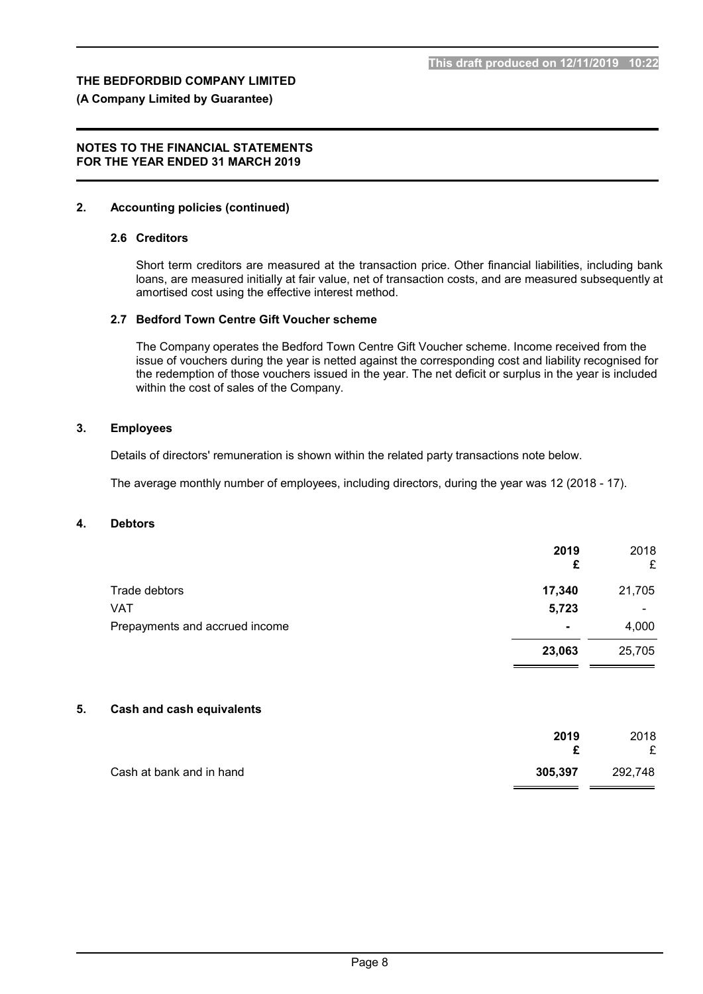#### **(A Company Limited by Guarantee)**

#### **NOTES TO THE FINANCIAL STATEMENTS FOR THE YEAR ENDED 31 MARCH 2019**

#### **2. Accounting policies (continued)**

#### **2.6 Creditors**

Short term creditors are measured at the transaction price. Other financial liabilities, including bank loans, are measured initially at fair value, net of transaction costs, and are measured subsequently at amortised cost using the effective interest method.

#### **2.7 Bedford Town Centre Gift Voucher scheme**

The Company operates the Bedford Town Centre Gift Voucher scheme. Income received from the issue of vouchers during the year is netted against the corresponding cost and liability recognised for the redemption of those vouchers issued in the year. The net deficit or surplus in the year is included within the cost of sales of the Company.

#### **3. Employees**

Details of directors' remuneration is shown within the related party transactions note below.

The average monthly number of employees, including directors, during the year was 12 (2018 - 17).

#### **4. Debtors**

|                                | 2019<br>£      | 2018<br>£                |
|--------------------------------|----------------|--------------------------|
| Trade debtors                  | 17,340         | 21,705                   |
| <b>VAT</b>                     | 5,723          | $\overline{\phantom{0}}$ |
| Prepayments and accrued income | $\blacksquare$ | 4,000                    |
|                                | 23,063         | 25,705                   |

#### **5. Cash and cash equivalents**

|                          | 2019    | 2018    |
|--------------------------|---------|---------|
| Cash at bank and in hand | 305,397 | 292,748 |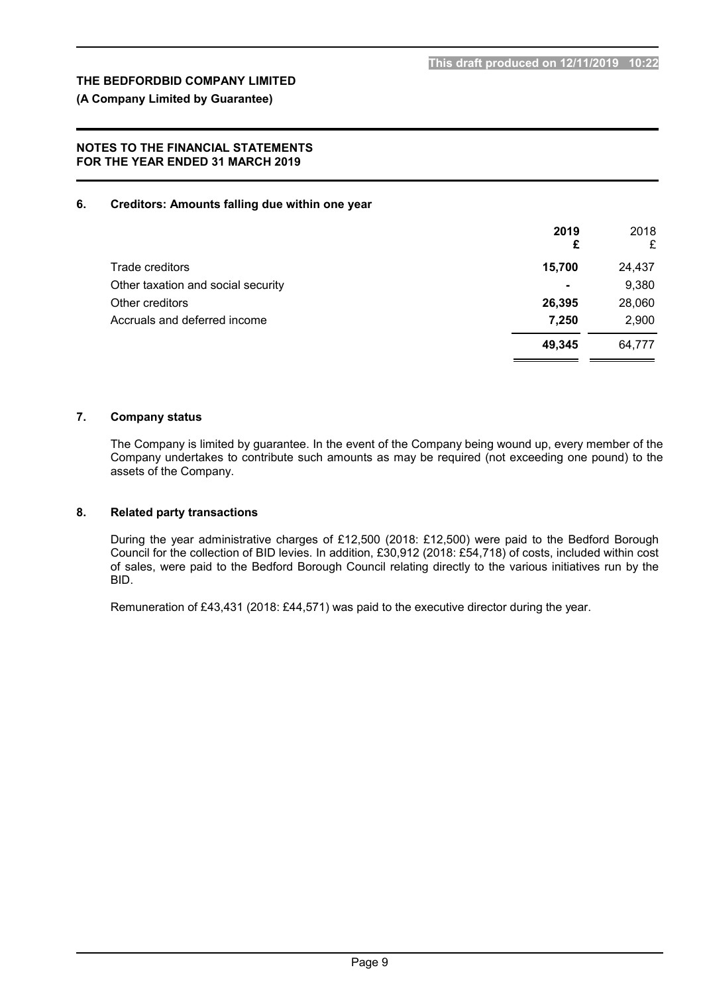## **(A Company Limited by Guarantee)**

### **NOTES TO THE FINANCIAL STATEMENTS FOR THE YEAR ENDED 31 MARCH 2019**

#### **6. Creditors: Amounts falling due within one year**

|                                    | 2019<br>£      | 2018<br>£ |
|------------------------------------|----------------|-----------|
| Trade creditors                    | 15.700         | 24,437    |
| Other taxation and social security | $\blacksquare$ | 9,380     |
| Other creditors                    | 26,395         | 28,060    |
| Accruals and deferred income       | 7,250          | 2,900     |
|                                    | 49,345         | 64,777    |

#### **7. Company status**

The Company is limited by guarantee. In the event of the Company being wound up, every member of the Company undertakes to contribute such amounts as may be required (not exceeding one pound) to the assets of the Company.

## **8. Related party transactions**

During the year administrative charges of £12,500 (2018: £12,500) were paid to the Bedford Borough Council for the collection of BID levies. In addition, £30,912 (2018: £54,718) of costs, included within cost of sales, were paid to the Bedford Borough Council relating directly to the various initiatives run by the BID.

Remuneration of £43,431 (2018: £44,571) was paid to the executive director during the year.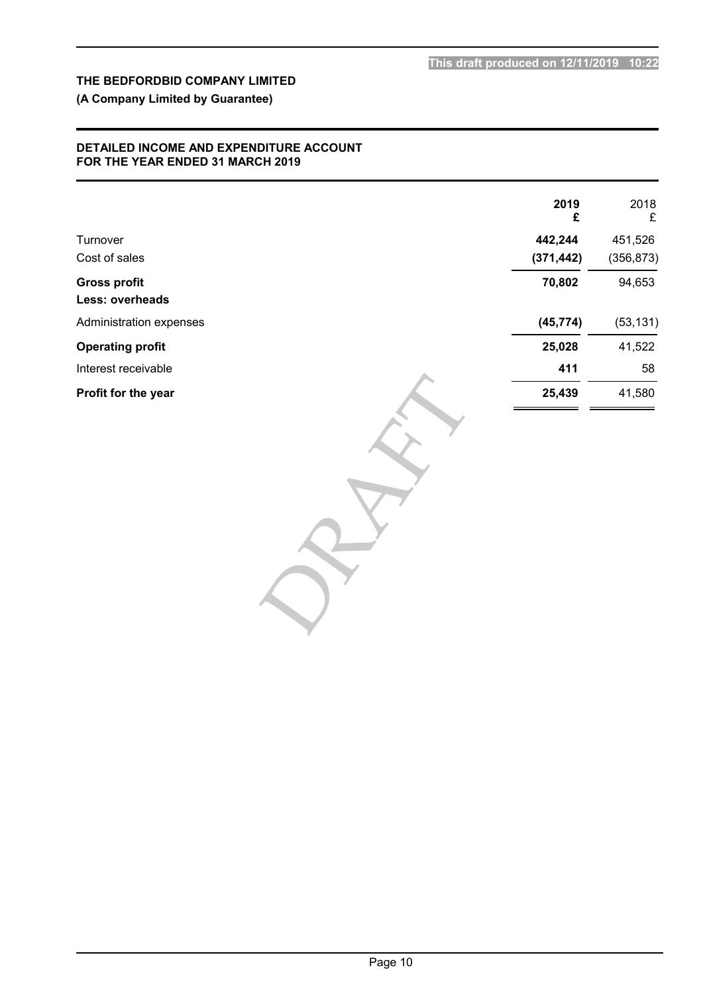## **(A Company Limited by Guarantee)**

### **DETAILED INCOME AND EXPENDITURE ACCOUNT FOR THE YEAR ENDED 31 MARCH 2019**

|                         | 2019<br>£  | 2018<br>£  |
|-------------------------|------------|------------|
| Turnover                | 442,244    | 451,526    |
| Cost of sales           | (371, 442) | (356, 873) |
| <b>Gross profit</b>     | 70,802     | 94,653     |
| Less: overheads         |            |            |
| Administration expenses | (45, 774)  | (53, 131)  |
| <b>Operating profit</b> | 25,028     | 41,522     |
| Interest receivable     | 411        | 58         |
| Profit for the year     | 25,439     | 41,580     |
|                         |            |            |
|                         |            |            |
|                         |            |            |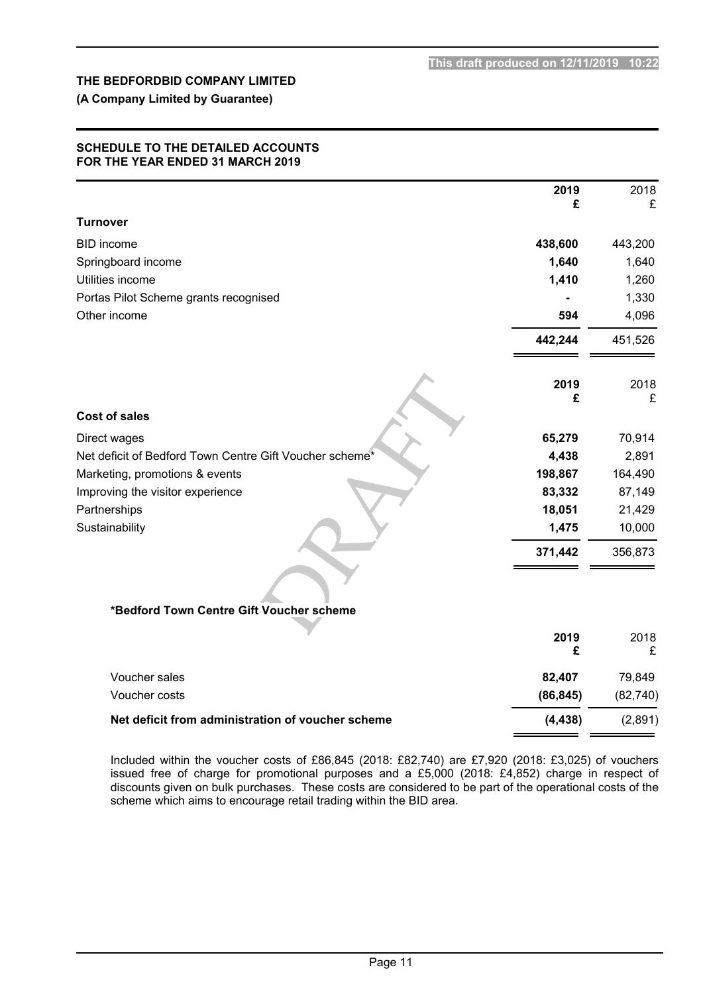## **(A Company Limited by Guarantee)**

### **SCHEDULE TO THE DETAILED ACCOUNTS FOR THE YEAR ENDED 31 MARCH 2019**

|                                                         | 2019      | 2018      |
|---------------------------------------------------------|-----------|-----------|
| <b>Turnover</b>                                         | £         | £         |
|                                                         |           |           |
| <b>BID</b> income                                       | 438,600   | 443,200   |
| Springboard income                                      | 1,640     | 1,640     |
| Utilities income                                        | 1,410     | 1,260     |
| Portas Pilot Scheme grants recognised                   |           | 1,330     |
| Other income                                            | 594       | 4,096     |
|                                                         | 442,244   | 451,526   |
|                                                         | 2019<br>£ | 2018<br>£ |
| <b>Cost of sales</b>                                    |           |           |
| Direct wages                                            | 65,279    | 70,914    |
| Net deficit of Bedford Town Centre Gift Voucher scheme* | 4,438     | 2,891     |
| Marketing, promotions & events                          | 198,867   | 164,490   |
| Improving the visitor experience                        | 83,332    | 87,149    |
| Partnerships                                            | 18,051    | 21,429    |
| Sustainability                                          | 1,475     | 10,000    |
|                                                         | 371,442   | 356,873   |
|                                                         |           |           |
| *Bedford Town Centre Gift Voucher scheme                |           |           |
|                                                         | 2019<br>£ | 2018<br>£ |
| Voucher sales                                           | 82,407    | 79,849    |
| Voucher costs                                           | (86, 845) | (82, 740) |
| Net deficit from administration of voucher scheme       | (4, 438)  | (2,891)   |

Included within the voucher costs of £86,845 (2018: £82,740) are £7,920 (2018: £3,025) of vouchers issued free of charge for promotional purposes and a £5,000 (2018: £4,852) charge in respect of discounts given on bulk purchases. These costs are considered to be part of the operational costs of the scheme which aims to encourage retail trading within the BID area.